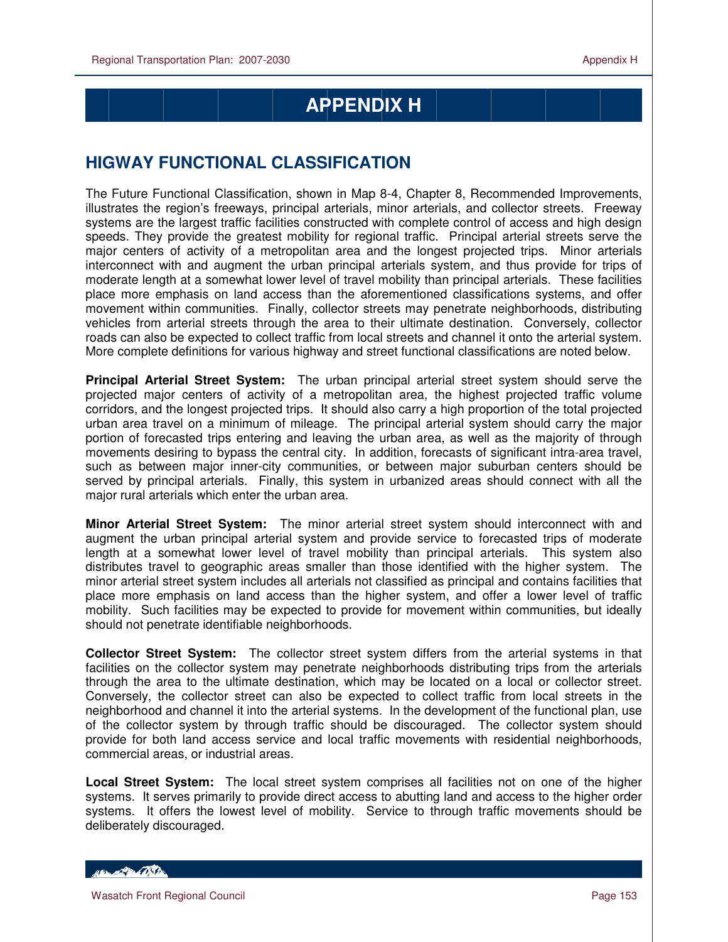# **APPENDIX H**

## **HIGWAY FUNCTIONAL CLASSIFICATION**

The Future Functional Classification, shown in Map 8-4, Chapter 8, Recommended Improvements, illustrates the region's freeways, principal arterials, minor arterials, and collector streets. Freeway systems are the largest traffic facilities constructed with complete control of access and high design speeds. They provide the greatest mobility for regional traffic. Principal arterial streets serve the major centers of activity of a metropolitan area and the longest projected trips. Minor arterials interconnect with and augment the urban principal arterials system, and thus provide for trips of moderate length at a somewhat lower level of travel mobility than principal arterials. These facilities place more emphasis on land access than the aforementioned classifications systems, and offer movement within communities. Finally, collector streets may penetrate neighborhoods, distributing vehicles from arterial streets through the area to their ultimate destination. Conversely, collector roads can also be expected to collect traffic from local streets and channel it onto the arterial system. More complete definitions for various highway and street functional classifications are noted below.

**Principal Arterial Street System:** The urban principal arterial street system should serve the projected major centers of activity of a metropolitan area, the highest projected traffic volume corridors, and the longest projected trips. It should also carry a high proportion of the total projected urban area travel on a minimum of mileage. The principal arterial system should carry the major portion of forecasted trips entering and leaving the urban area, as well as the majority of through movements desiring to bypass the central city. In addition, forecasts of significant intra-area travel, such as between major inner-city communities, or between major suburban centers should be served by principal arterials. Finally, this system in urbanized areas should connect with all the major rural arterials which enter the urban area.

**Minor Arterial Street System:** The minor arterial street system should interconnect with and augment the urban principal arterial system and provide service to forecasted trips of moderate length at a somewhat lower level of travel mobility than principal arterials. This system also distributes travel to geographic areas smaller than those identified with the higher system. The minor arterial street system includes all arterials not classified as principal and contains facilities that place more emphasis on land access than the higher system, and offer a lower level of traffic mobility. Such facilities may be expected to provide for movement within communities, but ideally should not penetrate identifiable neighborhoods.

**Collector Street System:** The collector street system differs from the arterial systems in that facilities on the collector system may penetrate neighborhoods distributing trips from the arterials through the area to the ultimate destination, which may be located on a local or collector street. Conversely, the collector street can also be expected to collect traffic from local streets in the neighborhood and channel it into the arterial systems. In the development of the functional plan, use of the collector system by through traffic should be discouraged. The collector system should provide for both land access service and local traffic movements with residential neighborhoods, commercial areas, or industrial areas.

**Local Street System:** The local street system comprises all facilities not on one of the higher systems. It serves primarily to provide direct access to abutting land and access to the higher order systems. It offers the lowest level of mobility. Service to through traffic movements should be deliberately discouraged.

HELL CONTRACTOR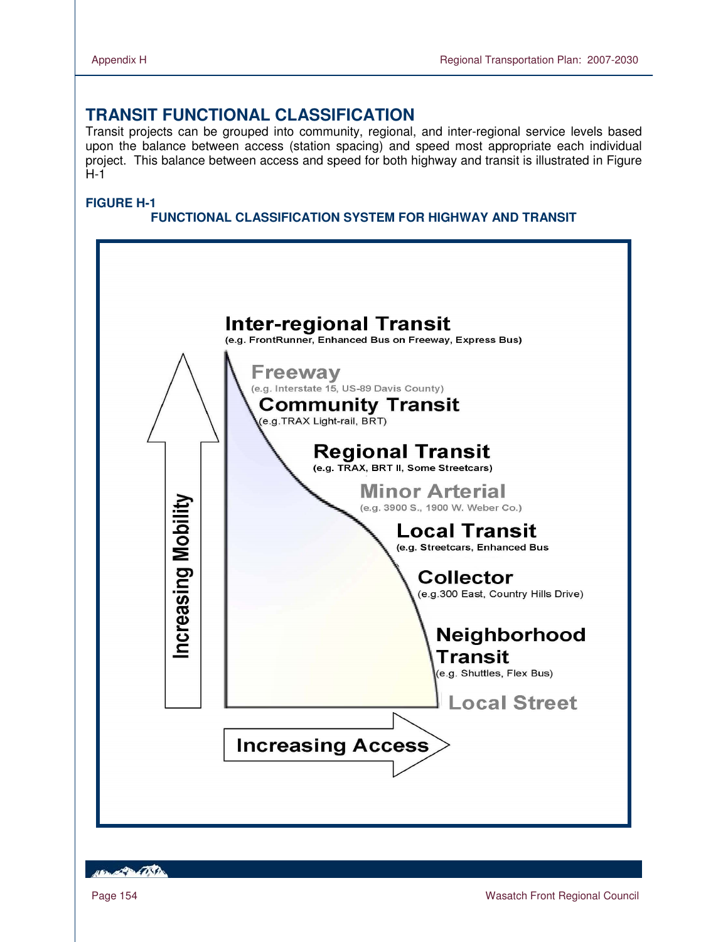### **TRANSIT FUNCTIONAL CLASSIFICATION**

Transit projects can be grouped into community, regional, and inter-regional service levels based upon the balance between access (station spacing) and speed most appropriate each individual project. This balance between access and speed for both highway and transit is illustrated in Figure H-1

#### **FIGURE H-1**

### **FUNCTIONAL CLASSIFICATION SYSTEM FOR HIGHWAY AND TRANSIT**



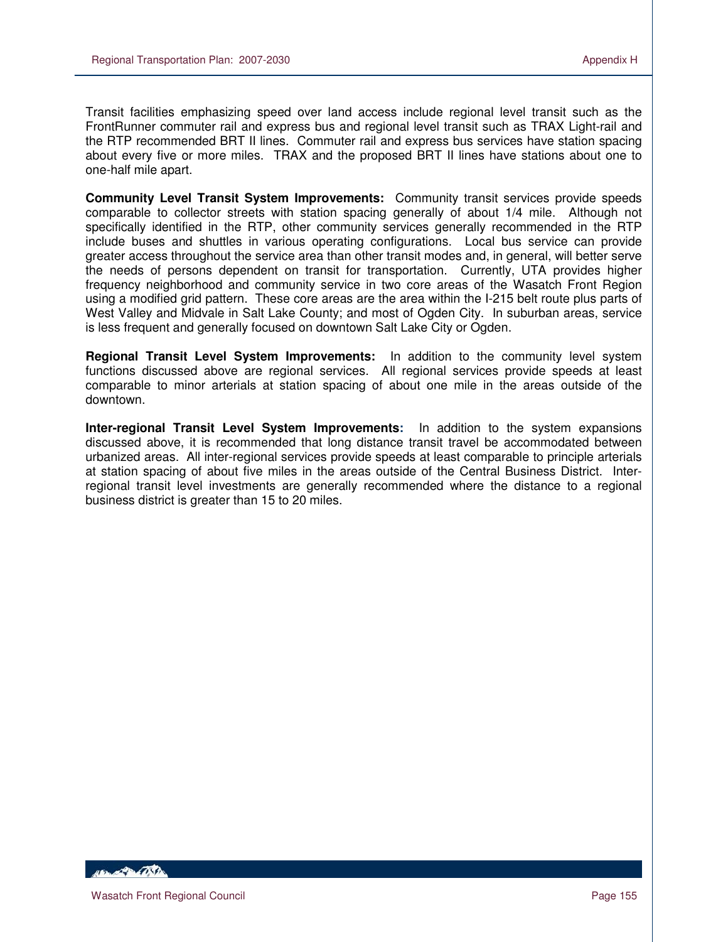Transit facilities emphasizing speed over land access include regional level transit such as the FrontRunner commuter rail and express bus and regional level transit such as TRAX Light-rail and the RTP recommended BRT II lines. Commuter rail and express bus services have station spacing about every five or more miles. TRAX and the proposed BRT II lines have stations about one to one-half mile apart.

**Community Level Transit System Improvements:** Community transit services provide speeds comparable to collector streets with station spacing generally of about 1/4 mile. Although not specifically identified in the RTP, other community services generally recommended in the RTP include buses and shuttles in various operating configurations. Local bus service can provide greater access throughout the service area than other transit modes and, in general, will better serve the needs of persons dependent on transit for transportation. Currently, UTA provides higher frequency neighborhood and community service in two core areas of the Wasatch Front Region using a modified grid pattern. These core areas are the area within the I-215 belt route plus parts of West Valley and Midvale in Salt Lake County; and most of Ogden City. In suburban areas, service is less frequent and generally focused on downtown Salt Lake City or Ogden.

**Regional Transit Level System Improvements:** In addition to the community level system functions discussed above are regional services. All regional services provide speeds at least comparable to minor arterials at station spacing of about one mile in the areas outside of the downtown.

**Inter-regional Transit Level System Improvements:** In addition to the system expansions discussed above, it is recommended that long distance transit travel be accommodated between urbanized areas. All inter-regional services provide speeds at least comparable to principle arterials at station spacing of about five miles in the areas outside of the Central Business District. Interregional transit level investments are generally recommended where the distance to a regional business district is greater than 15 to 20 miles.

**ABLACE DE LA CONTENTE**